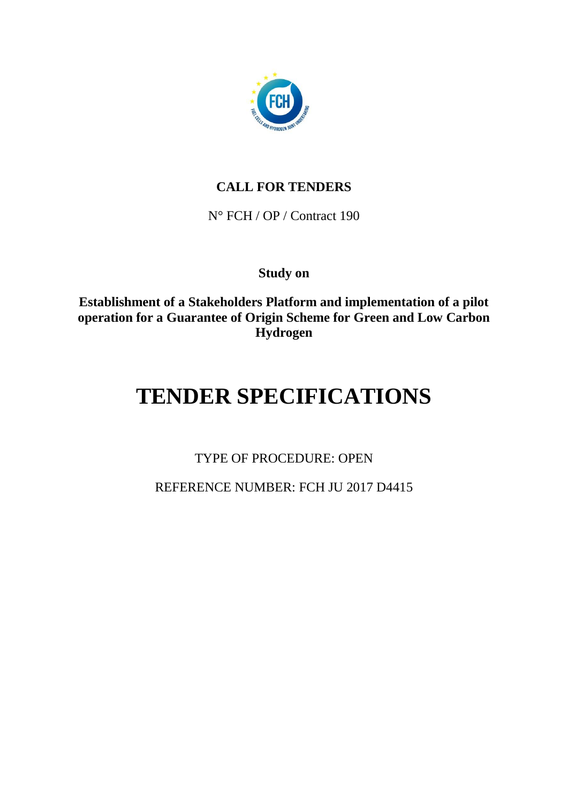

# **CALL FOR TENDERS**

N° FCH / OP / Contract 190

**Study on**

**Establishment of a Stakeholders Platform and implementation of a pilot operation for a Guarantee of Origin Scheme for Green and Low Carbon Hydrogen**

# **TENDER SPECIFICATIONS**

TYPE OF PROCEDURE: OPEN

REFERENCE NUMBER: FCH JU 2017 D4415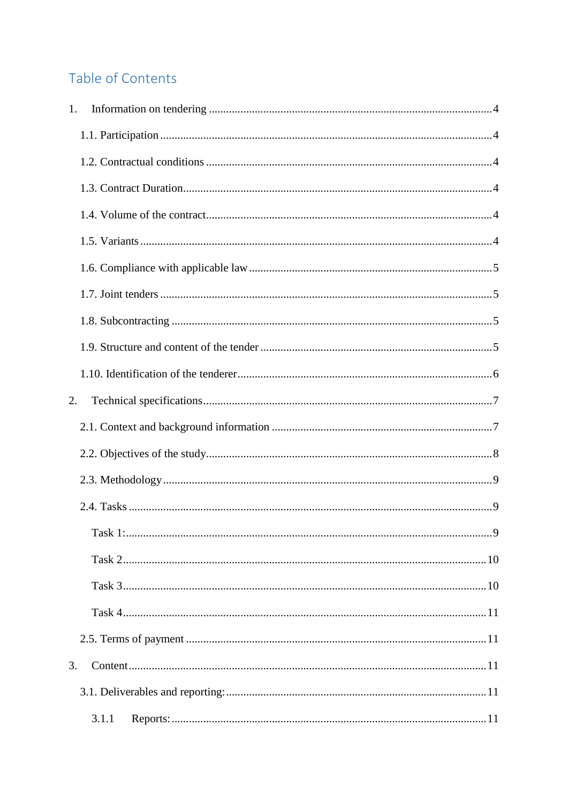# Table of Contents

| 1. |       |  |
|----|-------|--|
|    |       |  |
|    |       |  |
|    |       |  |
|    |       |  |
|    |       |  |
|    |       |  |
|    |       |  |
|    |       |  |
|    |       |  |
|    |       |  |
| 2. |       |  |
|    |       |  |
|    |       |  |
|    |       |  |
|    |       |  |
|    |       |  |
|    |       |  |
|    |       |  |
|    |       |  |
|    |       |  |
| 3. |       |  |
|    |       |  |
|    | 3.1.1 |  |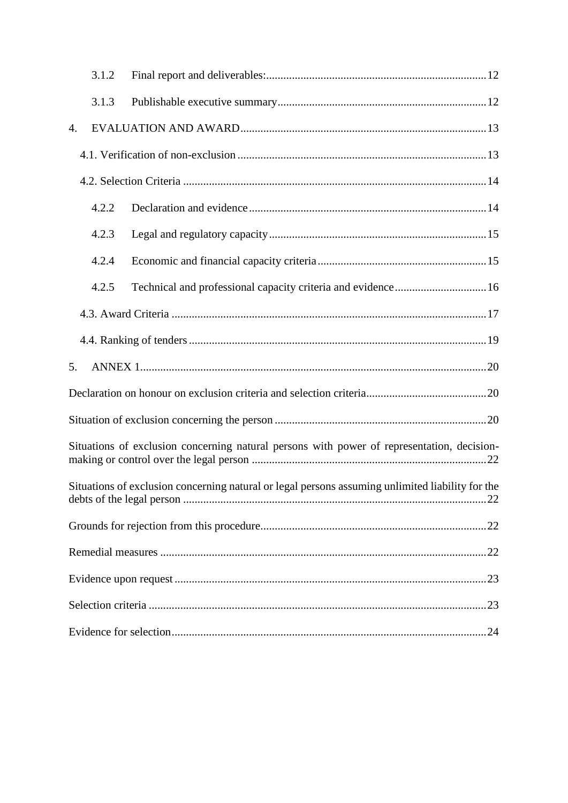|    | 3.1.2 |                                                                                                  |
|----|-------|--------------------------------------------------------------------------------------------------|
|    | 3.1.3 |                                                                                                  |
| 4. |       |                                                                                                  |
|    |       |                                                                                                  |
|    |       |                                                                                                  |
|    | 4.2.2 |                                                                                                  |
|    | 4.2.3 |                                                                                                  |
|    | 4.2.4 |                                                                                                  |
|    | 4.2.5 | Technical and professional capacity criteria and evidence 16                                     |
|    |       |                                                                                                  |
|    |       |                                                                                                  |
| 5. |       |                                                                                                  |
|    |       |                                                                                                  |
|    |       |                                                                                                  |
|    |       | Situations of exclusion concerning natural persons with power of representation, decision-       |
|    |       | Situations of exclusion concerning natural or legal persons assuming unlimited liability for the |
|    |       |                                                                                                  |
|    |       |                                                                                                  |
|    |       |                                                                                                  |
|    |       |                                                                                                  |
|    |       |                                                                                                  |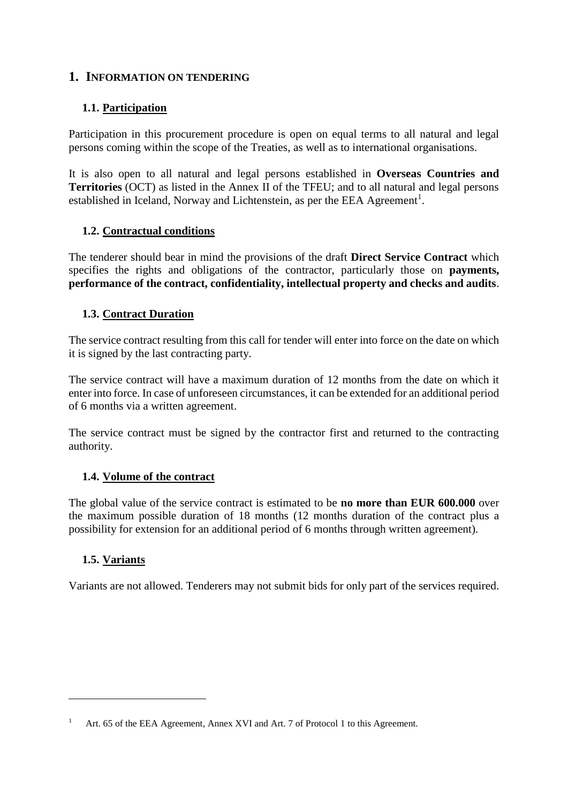#### <span id="page-3-0"></span>**1. INFORMATION ON TENDERING**

#### <span id="page-3-1"></span>**1.1. Participation**

Participation in this procurement procedure is open on equal terms to all natural and legal persons coming within the scope of the Treaties, as well as to international organisations.

It is also open to all natural and legal persons established in **Overseas Countries and Territories** (OCT) as listed in the Annex II of the TFEU; and to all natural and legal persons established in Iceland, Norway and Lichtenstein, as per the EEA Agreement<sup>1</sup>.

#### <span id="page-3-2"></span>**1.2. Contractual conditions**

The tenderer should bear in mind the provisions of the draft **Direct Service Contract** which specifies the rights and obligations of the contractor, particularly those on **payments, performance of the contract, confidentiality, intellectual property and checks and audits**.

#### <span id="page-3-3"></span>**1.3. Contract Duration**

The service contract resulting from this call for tender will enter into force on the date on which it is signed by the last contracting party.

The service contract will have a maximum duration of 12 months from the date on which it enter into force. In case of unforeseen circumstances, it can be extended for an additional period of 6 months via a written agreement.

The service contract must be signed by the contractor first and returned to the contracting authority.

#### <span id="page-3-4"></span>**1.4. Volume of the contract**

The global value of the service contract is estimated to be **no more than EUR 600.000** over the maximum possible duration of 18 months (12 months duration of the contract plus a possibility for extension for an additional period of 6 months through written agreement).

#### <span id="page-3-5"></span>**1.5. Variants**

1

Variants are not allowed. Tenderers may not submit bids for only part of the services required.

Art. 65 of the EEA Agreement, Annex XVI and Art. 7 of Protocol 1 to this Agreement.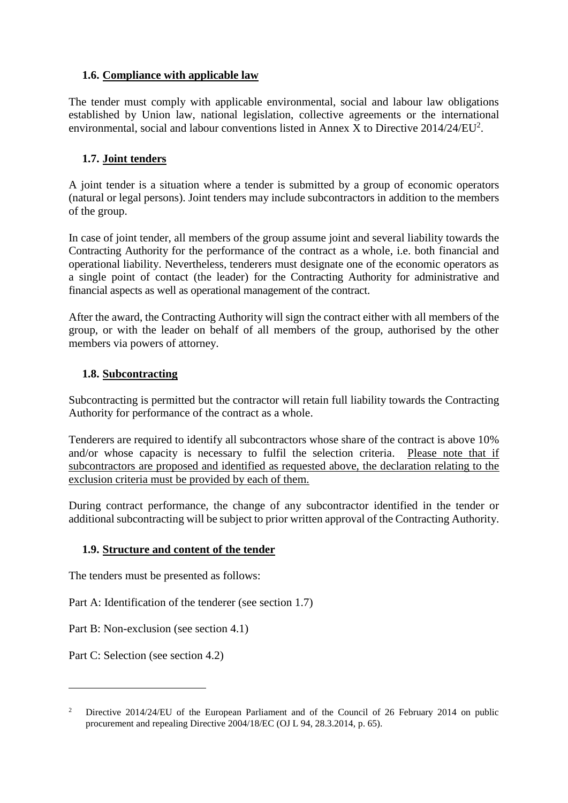#### <span id="page-4-0"></span>**1.6. Compliance with applicable law**

The tender must comply with applicable environmental, social and labour law obligations established by Union law, national legislation, collective agreements or the international environmental, social and labour conventions listed in Annex X to Directive  $2014/24/EU^2$ .

#### <span id="page-4-1"></span>**1.7. Joint tenders**

A joint tender is a situation where a tender is submitted by a group of economic operators (natural or legal persons). Joint tenders may include subcontractors in addition to the members of the group.

In case of joint tender, all members of the group assume joint and several liability towards the Contracting Authority for the performance of the contract as a whole, i.e. both financial and operational liability. Nevertheless, tenderers must designate one of the economic operators as a single point of contact (the leader) for the Contracting Authority for administrative and financial aspects as well as operational management of the contract.

After the award, the Contracting Authority will sign the contract either with all members of the group, or with the leader on behalf of all members of the group, authorised by the other members via powers of attorney.

#### <span id="page-4-2"></span>**1.8. Subcontracting**

Subcontracting is permitted but the contractor will retain full liability towards the Contracting Authority for performance of the contract as a whole.

Tenderers are required to identify all subcontractors whose share of the contract is above 10% and/or whose capacity is necessary to fulfil the selection criteria. Please note that if subcontractors are proposed and identified as requested above, the declaration relating to the exclusion criteria must be provided by each of them.

During contract performance, the change of any subcontractor identified in the tender or additional subcontracting will be subject to prior written approval of the Contracting Authority.

#### <span id="page-4-3"></span>**1.9. Structure and content of the tender**

The tenders must be presented as follows:

Part A: Identification of the tenderer (see section 1.7)

Part B: Non-exclusion (see section 4.1)

Part C: Selection (see section 4.2)

<u>.</u>

<sup>&</sup>lt;sup>2</sup> Directive 2014/24/EU of the European Parliament and of the Council of 26 February 2014 on public procurement and repealing Directive 2004/18/EC (OJ L 94, 28.3.2014, p. 65).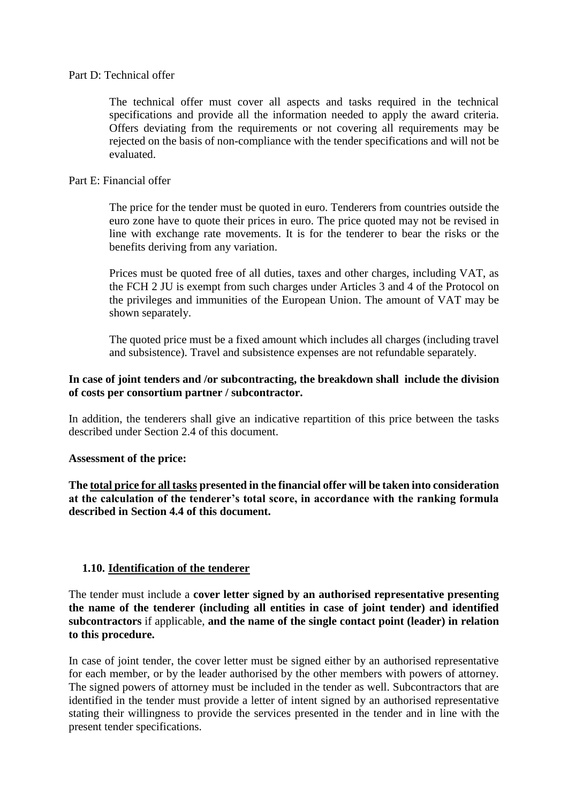#### Part D: Technical offer

The technical offer must cover all aspects and tasks required in the technical specifications and provide all the information needed to apply the award criteria. Offers deviating from the requirements or not covering all requirements may be rejected on the basis of non-compliance with the tender specifications and will not be evaluated.

#### Part E: Financial offer

The price for the tender must be quoted in euro. Tenderers from countries outside the euro zone have to quote their prices in euro. The price quoted may not be revised in line with exchange rate movements. It is for the tenderer to bear the risks or the benefits deriving from any variation.

Prices must be quoted free of all duties, taxes and other charges, including VAT, as the FCH 2 JU is exempt from such charges under Articles 3 and 4 of the Protocol on the privileges and immunities of the European Union. The amount of VAT may be shown separately.

The quoted price must be a fixed amount which includes all charges (including travel and subsistence). Travel and subsistence expenses are not refundable separately.

#### **In case of joint tenders and /or subcontracting, the breakdown shall include the division of costs per consortium partner / subcontractor.**

In addition, the tenderers shall give an indicative repartition of this price between the tasks described under Section 2.4 of this document.

#### **Assessment of the price:**

**The total price for all tasks presented in the financial offer will be taken into consideration at the calculation of the tenderer's total score, in accordance with the ranking formula described in Section 4.4 of this document.**

#### <span id="page-5-0"></span>**1.10. Identification of the tenderer**

The tender must include a **cover letter signed by an authorised representative presenting the name of the tenderer (including all entities in case of joint tender) and identified subcontractors** if applicable, **and the name of the single contact point (leader) in relation to this procedure.** 

In case of joint tender, the cover letter must be signed either by an authorised representative for each member, or by the leader authorised by the other members with powers of attorney. The signed powers of attorney must be included in the tender as well. Subcontractors that are identified in the tender must provide a letter of intent signed by an authorised representative stating their willingness to provide the services presented in the tender and in line with the present tender specifications.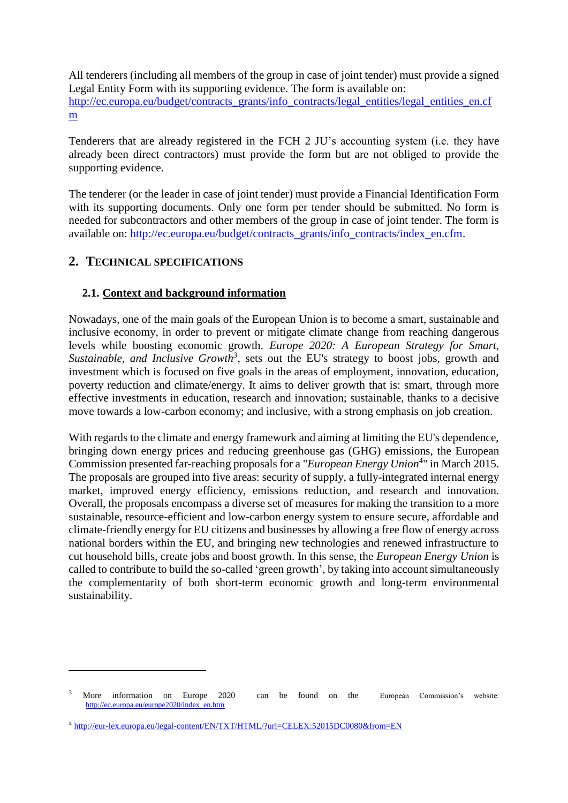All tenderers (including all members of the group in case of joint tender) must provide a signed Legal Entity Form with its supporting evidence. The form is available on: [http://ec.europa.eu/budget/contracts\\_grants/info\\_contracts/legal\\_entities/legal\\_entities\\_en.cf](http://ec.europa.eu/budget/contracts_grants/info_contracts/legal_entities/legal_entities_en.cfm) [m](http://ec.europa.eu/budget/contracts_grants/info_contracts/legal_entities/legal_entities_en.cfm)

Tenderers that are already registered in the FCH 2 JU's accounting system (i.e. they have already been direct contractors) must provide the form but are not obliged to provide the supporting evidence.

The tenderer (or the leader in case of joint tender) must provide a Financial Identification Form with its supporting documents. Only one form per tender should be submitted. No form is needed for subcontractors and other members of the group in case of joint tender. The form is available on: [http://ec.europa.eu/budget/contracts\\_grants/info\\_contracts/index\\_en.cfm.](http://ec.europa.eu/budget/contracts_grants/info_contracts/index_en.cfm)

## <span id="page-6-0"></span>**2. TECHNICAL SPECIFICATIONS**

1

#### <span id="page-6-1"></span>**2.1. Context and background information**

Nowadays, one of the main goals of the European Union is to become a smart, sustainable and inclusive economy, in order to prevent or mitigate climate change from reaching dangerous levels while boosting economic growth. *Europe 2020: A European Strategy for Smart, Sustainable, and Inclusive Growth*<sup>3</sup>, sets out the EU's strategy to boost jobs, growth and investment which is focused on five goals in the areas of employment, innovation, education, poverty reduction and climate/energy. It aims to deliver growth that is: smart, through more effective investments in education, research and innovation; sustainable, thanks to a decisive move towards a low-carbon economy; and inclusive, with a strong emphasis on job creation.

With regards to the climate and energy framework and aiming at limiting the EU's dependence, bringing down energy prices and reducing greenhouse gas (GHG) emissions, the European Commission presented far-reaching proposals for a "*European Energy Union*<sup>4</sup> " in March 2015. The proposals are grouped into five areas: security of supply, a fully-integrated internal energy market, improved energy efficiency, emissions reduction, and research and innovation. Overall, the proposals encompass a diverse set of measures for making the transition to a more sustainable, resource-efficient and low-carbon energy system to ensure secure, affordable and climate-friendly energy for EU citizens and businesses by allowing a free flow of energy across national borders within the EU, and bringing new technologies and renewed infrastructure to cut household bills, create jobs and boost growth. In this sense, the *European Energy Union* is called to contribute to build the so-called 'green growth', by taking into account simultaneously the complementarity of both short-term economic growth and long-term environmental sustainability.

<sup>3</sup> More information on Europe 2020 can be found on the European Commission's website: [http://ec.europa.eu/europe2020/index\\_en.htm](http://ec.europa.eu/europe2020/index_en.htm)

<sup>&</sup>lt;sup>4</sup> <http://eur-lex.europa.eu/legal-content/EN/TXT/HTML/?uri=CELEX:52015DC0080&from=EN>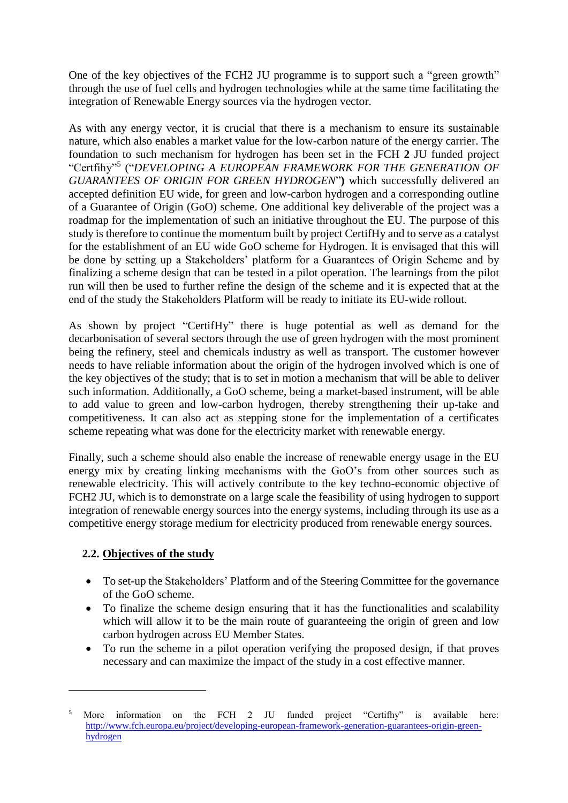One of the key objectives of the FCH2 JU programme is to support such a "green growth" through the use of fuel cells and hydrogen technologies while at the same time facilitating the integration of Renewable Energy sources via the hydrogen vector.

As with any energy vector, it is crucial that there is a mechanism to ensure its sustainable nature, which also enables a market value for the low-carbon nature of the energy carrier. The foundation to such mechanism for hydrogen has been set in the FCH **2** JU funded project "Certfihy" 5 ("*DEVELOPING A EUROPEAN FRAMEWORK FOR THE GENERATION OF GUARANTEES OF ORIGIN FOR GREEN HYDROGEN*"**)** which successfully delivered an accepted definition EU wide, for green and low-carbon hydrogen and a corresponding outline of a Guarantee of Origin (GoO) scheme. One additional key deliverable of the project was a roadmap for the implementation of such an initiative throughout the EU. The purpose of this study is therefore to continue the momentum built by project CertifHy and to serve as a catalyst for the establishment of an EU wide GoO scheme for Hydrogen. It is envisaged that this will be done by setting up a Stakeholders' platform for a Guarantees of Origin Scheme and by finalizing a scheme design that can be tested in a pilot operation. The learnings from the pilot run will then be used to further refine the design of the scheme and it is expected that at the end of the study the Stakeholders Platform will be ready to initiate its EU-wide rollout.

As shown by project "CertifHy" there is huge potential as well as demand for the decarbonisation of several sectors through the use of green hydrogen with the most prominent being the refinery, steel and chemicals industry as well as transport. The customer however needs to have reliable information about the origin of the hydrogen involved which is one of the key objectives of the study; that is to set in motion a mechanism that will be able to deliver such information. Additionally, a GoO scheme, being a market-based instrument, will be able to add value to green and low-carbon hydrogen, thereby strengthening their up-take and competitiveness. It can also act as stepping stone for the implementation of a certificates scheme repeating what was done for the electricity market with renewable energy.

Finally, such a scheme should also enable the increase of renewable energy usage in the EU energy mix by creating linking mechanisms with the GoO's from other sources such as renewable electricity. This will actively contribute to the key techno-economic objective of FCH2 JU, which is to demonstrate on a large scale the feasibility of using hydrogen to support integration of renewable energy sources into the energy systems, including through its use as a competitive energy storage medium for electricity produced from renewable energy sources.

#### <span id="page-7-0"></span>**2.2. Objectives of the study**

1

- To set-up the Stakeholders' Platform and of the Steering Committee for the governance of the GoO scheme.
- To finalize the scheme design ensuring that it has the functionalities and scalability which will allow it to be the main route of guaranteeing the origin of green and low carbon hydrogen across EU Member States.
- To run the scheme in a pilot operation verifying the proposed design, if that proves necessary and can maximize the impact of the study in a cost effective manner.

More information on the FCH 2 JU funded project "Certifhy" is available here: [http://www.fch.europa.eu/project/developing-european-framework-generation-guarantees-origin-green](http://www.fch.europa.eu/project/developing-european-framework-generation-guarantees-origin-green-hydrogen)[hydrogen](http://www.fch.europa.eu/project/developing-european-framework-generation-guarantees-origin-green-hydrogen)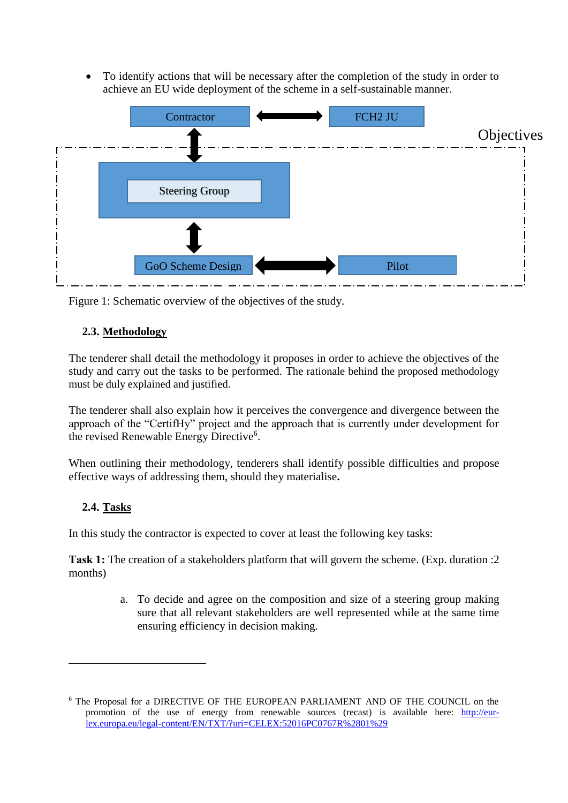To identify actions that will be necessary after the completion of the study in order to achieve an EU wide deployment of the scheme in a self-sustainable manner.



Figure 1: Schematic overview of the objectives of the study.

#### <span id="page-8-0"></span>**2.3. Methodology**

The tenderer shall detail the methodology it proposes in order to achieve the objectives of the study and carry out the tasks to be performed. The rationale behind the proposed methodology must be duly explained and justified.

The tenderer shall also explain how it perceives the convergence and divergence between the approach of the "CertifHy" project and the approach that is currently under development for the revised Renewable Energy Directive<sup>6</sup>.

When outlining their methodology, tenderers shall identify possible difficulties and propose effective ways of addressing them, should they materialise**.**

#### <span id="page-8-1"></span>**2.4. Tasks**

1

In this study the contractor is expected to cover at least the following key tasks:

<span id="page-8-2"></span>**Task 1:** The creation of a stakeholders platform that will govern the scheme. (Exp. duration :2 months)

> a. To decide and agree on the composition and size of a steering group making sure that all relevant stakeholders are well represented while at the same time ensuring efficiency in decision making.

<sup>6</sup> The Proposal for a DIRECTIVE OF THE EUROPEAN PARLIAMENT AND OF THE COUNCIL on the promotion of the use of energy from renewable sources (recast) is available here: [http://eur](http://eur-lex.europa.eu/legal-content/EN/TXT/?uri=CELEX:52016PC0767R%2801%29)[lex.europa.eu/legal-content/EN/TXT/?uri=CELEX:52016PC0767R%2801%29](http://eur-lex.europa.eu/legal-content/EN/TXT/?uri=CELEX:52016PC0767R%2801%29)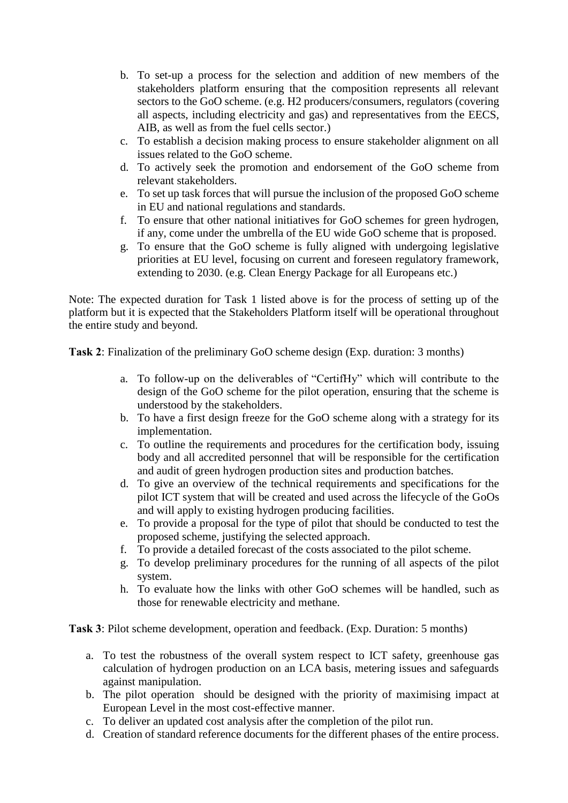- b. To set-up a process for the selection and addition of new members of the stakeholders platform ensuring that the composition represents all relevant sectors to the GoO scheme. (e.g. H2 producers/consumers, regulators (covering all aspects, including electricity and gas) and representatives from the EECS, AIB, as well as from the fuel cells sector.)
- c. To establish a decision making process to ensure stakeholder alignment on all issues related to the GoO scheme.
- d. To actively seek the promotion and endorsement of the GoO scheme from relevant stakeholders.
- e. To set up task forces that will pursue the inclusion of the proposed GoO scheme in EU and national regulations and standards.
- f. To ensure that other national initiatives for GoO schemes for green hydrogen, if any, come under the umbrella of the EU wide GoO scheme that is proposed.
- g. To ensure that the GoO scheme is fully aligned with undergoing legislative priorities at EU level, focusing on current and foreseen regulatory framework, extending to 2030. (e.g. Clean Energy Package for all Europeans etc.)

Note: The expected duration for Task 1 listed above is for the process of setting up of the platform but it is expected that the Stakeholders Platform itself will be operational throughout the entire study and beyond.

<span id="page-9-0"></span>**Task 2**: Finalization of the preliminary GoO scheme design (Exp. duration: 3 months)

- a. To follow-up on the deliverables of "CertifHy" which will contribute to the design of the GoO scheme for the pilot operation, ensuring that the scheme is understood by the stakeholders.
- b. To have a first design freeze for the GoO scheme along with a strategy for its implementation.
- c. To outline the requirements and procedures for the certification body, issuing body and all accredited personnel that will be responsible for the certification and audit of green hydrogen production sites and production batches.
- d. To give an overview of the technical requirements and specifications for the pilot ICT system that will be created and used across the lifecycle of the GoOs and will apply to existing hydrogen producing facilities.
- e. To provide a proposal for the type of pilot that should be conducted to test the proposed scheme, justifying the selected approach.
- f. To provide a detailed forecast of the costs associated to the pilot scheme.
- g. To develop preliminary procedures for the running of all aspects of the pilot system.
- h. To evaluate how the links with other GoO schemes will be handled, such as those for renewable electricity and methane.

<span id="page-9-1"></span>**Task 3**: Pilot scheme development, operation and feedback. (Exp. Duration: 5 months)

- a. To test the robustness of the overall system respect to ICT safety, greenhouse gas calculation of hydrogen production on an LCA basis, metering issues and safeguards against manipulation.
- b. The pilot operation should be designed with the priority of maximising impact at European Level in the most cost-effective manner.
- c. To deliver an updated cost analysis after the completion of the pilot run.
- d. Creation of standard reference documents for the different phases of the entire process.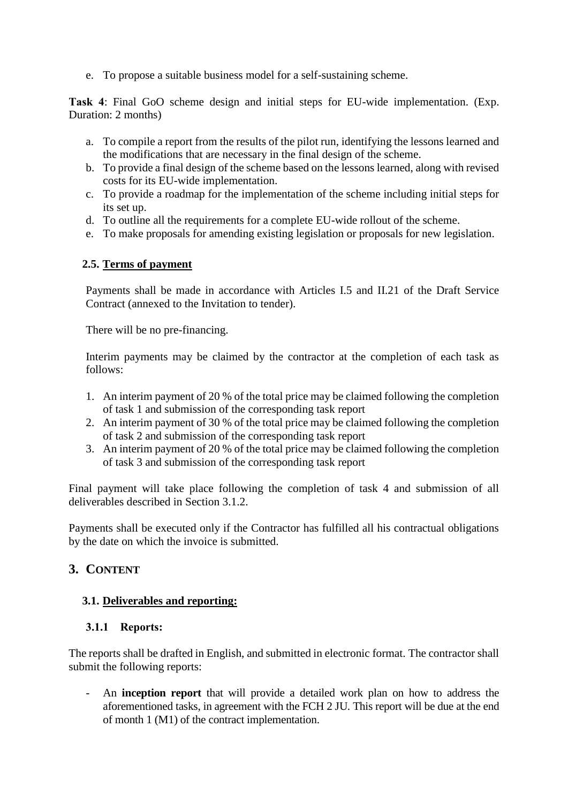e. To propose a suitable business model for a self-sustaining scheme.

<span id="page-10-0"></span>**Task 4**: Final GoO scheme design and initial steps for EU-wide implementation. (Exp. Duration: 2 months)

- a. To compile a report from the results of the pilot run, identifying the lessons learned and the modifications that are necessary in the final design of the scheme.
- b. To provide a final design of the scheme based on the lessons learned, along with revised costs for its EU-wide implementation.
- c. To provide a roadmap for the implementation of the scheme including initial steps for its set up.
- d. To outline all the requirements for a complete EU-wide rollout of the scheme.
- e. To make proposals for amending existing legislation or proposals for new legislation.

#### <span id="page-10-1"></span>**2.5. Terms of payment**

Payments shall be made in accordance with Articles I.5 and II.21 of the Draft Service Contract (annexed to the Invitation to tender).

There will be no pre-financing.

Interim payments may be claimed by the contractor at the completion of each task as follows:

- 1. An interim payment of 20 % of the total price may be claimed following the completion of task 1 and submission of the corresponding task report
- 2. An interim payment of 30 % of the total price may be claimed following the completion of task 2 and submission of the corresponding task report
- 3. An interim payment of 20 % of the total price may be claimed following the completion of task 3 and submission of the corresponding task report

Final payment will take place following the completion of task 4 and submission of all deliverables described in Section 3.1.2.

Payments shall be executed only if the Contractor has fulfilled all his contractual obligations by the date on which the invoice is submitted.

#### <span id="page-10-2"></span>**3. CONTENT**

#### <span id="page-10-3"></span>**3.1. Deliverables and reporting:**

#### <span id="page-10-4"></span>**3.1.1 Reports:**

The reports shall be drafted in English, and submitted in electronic format. The contractor shall submit the following reports:

- An **inception report** that will provide a detailed work plan on how to address the aforementioned tasks, in agreement with the FCH 2 JU. This report will be due at the end of month 1 (M1) of the contract implementation.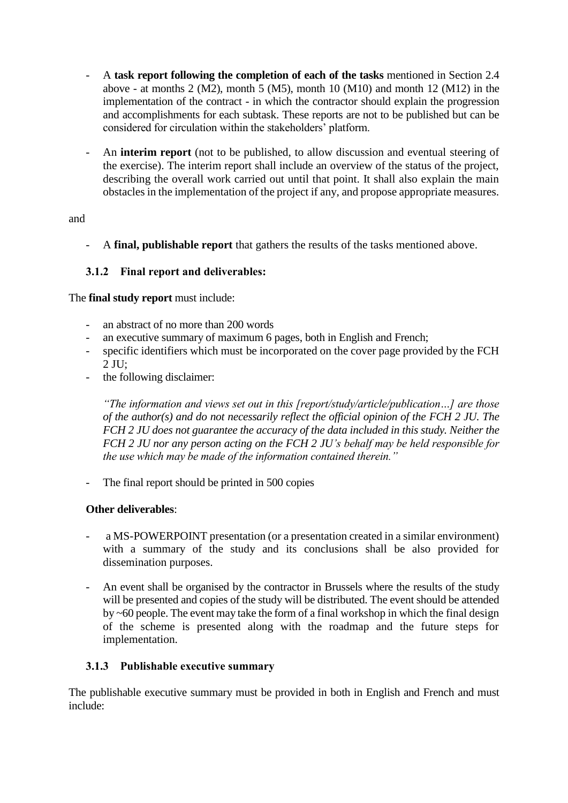- A **task report following the completion of each of the tasks** mentioned in Section 2.4 above - at months 2 (M2), month 5 (M5), month 10 (M10) and month 12 (M12) in the implementation of the contract - in which the contractor should explain the progression and accomplishments for each subtask. These reports are not to be published but can be considered for circulation within the stakeholders' platform.
- An **interim report** (not to be published, to allow discussion and eventual steering of the exercise). The interim report shall include an overview of the status of the project, describing the overall work carried out until that point. It shall also explain the main obstacles in the implementation of the project if any, and propose appropriate measures.

#### and

- A **final, publishable report** that gathers the results of the tasks mentioned above.

#### <span id="page-11-0"></span>**3.1.2 Final report and deliverables:**

The **final study report** must include:

- an abstract of no more than 200 words
- an executive summary of maximum 6 pages, both in English and French;
- specific identifiers which must be incorporated on the cover page provided by the FCH  $2$  JU:
- the following disclaimer:

*"The information and views set out in this [report/study/article/publication…] are those of the author(s) and do not necessarily reflect the official opinion of the FCH 2 JU. The FCH 2 JU does not guarantee the accuracy of the data included in this study. Neither the FCH 2 JU nor any person acting on the FCH 2 JU's behalf may be held responsible for the use which may be made of the information contained therein."* 

- The final report should be printed in 500 copies

#### **Other deliverables**:

- a MS-POWERPOINT presentation (or a presentation created in a similar environment) with a summary of the study and its conclusions shall be also provided for dissemination purposes.
- An event shall be organised by the contractor in Brussels where the results of the study will be presented and copies of the study will be distributed. The event should be attended by ~60 people. The event may take the form of a final workshop in which the final design of the scheme is presented along with the roadmap and the future steps for implementation.

#### <span id="page-11-1"></span>**3.1.3 Publishable executive summary**

The publishable executive summary must be provided in both in English and French and must include: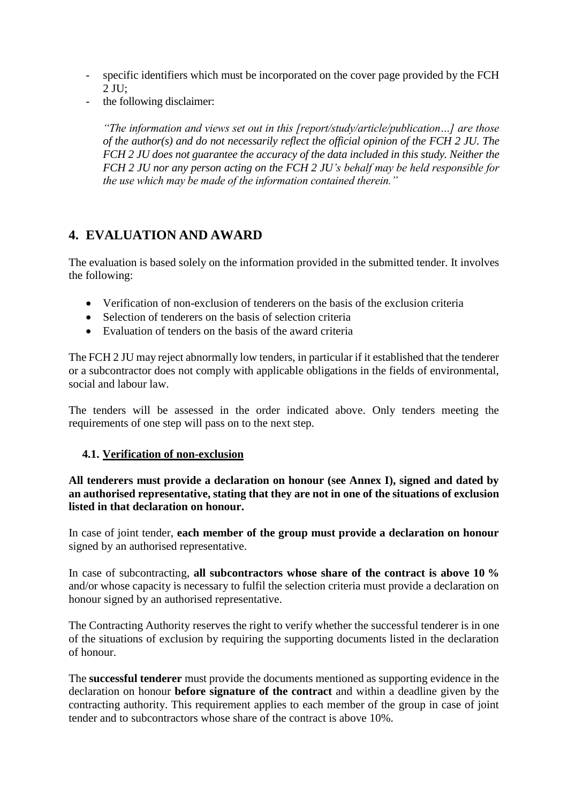- specific identifiers which must be incorporated on the cover page provided by the FCH  $2$  JU:
- the following disclaimer:

*"The information and views set out in this [report/study/article/publication…] are those of the author(s) and do not necessarily reflect the official opinion of the FCH 2 JU. The FCH 2 JU does not guarantee the accuracy of the data included in this study. Neither the FCH 2 JU nor any person acting on the FCH 2 JU's behalf may be held responsible for the use which may be made of the information contained therein."* 

# <span id="page-12-0"></span>**4. EVALUATION AND AWARD**

The evaluation is based solely on the information provided in the submitted tender. It involves the following:

- Verification of non-exclusion of tenderers on the basis of the exclusion criteria
- Selection of tenderers on the basis of selection criteria
- Evaluation of tenders on the basis of the award criteria

The FCH 2 JU may reject abnormally low tenders, in particular if it established that the tenderer or a subcontractor does not comply with applicable obligations in the fields of environmental, social and labour law.

The tenders will be assessed in the order indicated above. Only tenders meeting the requirements of one step will pass on to the next step.

#### <span id="page-12-1"></span>**4.1. Verification of non-exclusion**

**All tenderers must provide a declaration on honour (see Annex I), signed and dated by an authorised representative, stating that they are not in one of the situations of exclusion listed in that declaration on honour.** 

In case of joint tender, **each member of the group must provide a declaration on honour** signed by an authorised representative.

In case of subcontracting, **all subcontractors whose share of the contract is above 10 %** and/or whose capacity is necessary to fulfil the selection criteria must provide a declaration on honour signed by an authorised representative.

The Contracting Authority reserves the right to verify whether the successful tenderer is in one of the situations of exclusion by requiring the supporting documents listed in the declaration of honour.

The **successful tenderer** must provide the documents mentioned as supporting evidence in the declaration on honour **before signature of the contract** and within a deadline given by the contracting authority. This requirement applies to each member of the group in case of joint tender and to subcontractors whose share of the contract is above 10%.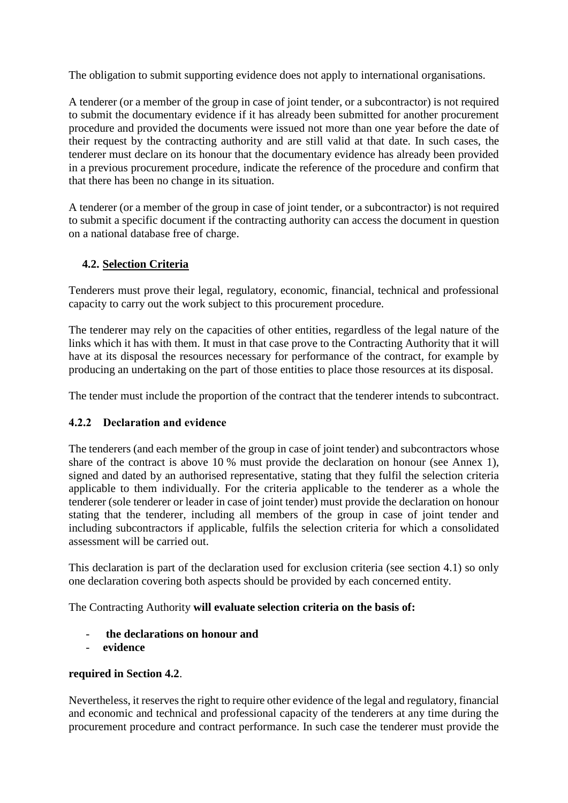The obligation to submit supporting evidence does not apply to international organisations.

A tenderer (or a member of the group in case of joint tender, or a subcontractor) is not required to submit the documentary evidence if it has already been submitted for another procurement procedure and provided the documents were issued not more than one year before the date of their request by the contracting authority and are still valid at that date. In such cases, the tenderer must declare on its honour that the documentary evidence has already been provided in a previous procurement procedure, indicate the reference of the procedure and confirm that that there has been no change in its situation.

A tenderer (or a member of the group in case of joint tender, or a subcontractor) is not required to submit a specific document if the contracting authority can access the document in question on a national database free of charge.

#### <span id="page-13-0"></span>**4.2. Selection Criteria**

Tenderers must prove their legal, regulatory, economic, financial, technical and professional capacity to carry out the work subject to this procurement procedure.

The tenderer may rely on the capacities of other entities, regardless of the legal nature of the links which it has with them. It must in that case prove to the Contracting Authority that it will have at its disposal the resources necessary for performance of the contract, for example by producing an undertaking on the part of those entities to place those resources at its disposal.

The tender must include the proportion of the contract that the tenderer intends to subcontract.

#### <span id="page-13-1"></span>**4.2.2 Declaration and evidence**

The tenderers (and each member of the group in case of joint tender) and subcontractors whose share of the contract is above 10 % must provide the declaration on honour (see Annex 1), signed and dated by an authorised representative, stating that they fulfil the selection criteria applicable to them individually. For the criteria applicable to the tenderer as a whole the tenderer (sole tenderer or leader in case of joint tender) must provide the declaration on honour stating that the tenderer, including all members of the group in case of joint tender and including subcontractors if applicable, fulfils the selection criteria for which a consolidated assessment will be carried out.

This declaration is part of the declaration used for exclusion criteria (see section 4.1) so only one declaration covering both aspects should be provided by each concerned entity.

The Contracting Authority **will evaluate selection criteria on the basis of:**

- **the declarations on honour and**
- **evidence**

#### **required in Section 4.2**.

Nevertheless, it reserves the right to require other evidence of the legal and regulatory, financial and economic and technical and professional capacity of the tenderers at any time during the procurement procedure and contract performance. In such case the tenderer must provide the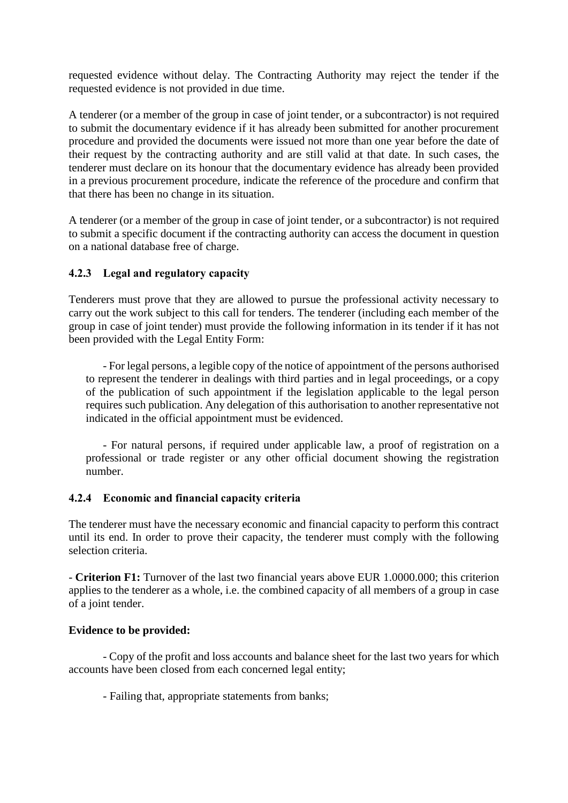requested evidence without delay. The Contracting Authority may reject the tender if the requested evidence is not provided in due time.

A tenderer (or a member of the group in case of joint tender, or a subcontractor) is not required to submit the documentary evidence if it has already been submitted for another procurement procedure and provided the documents were issued not more than one year before the date of their request by the contracting authority and are still valid at that date. In such cases, the tenderer must declare on its honour that the documentary evidence has already been provided in a previous procurement procedure, indicate the reference of the procedure and confirm that that there has been no change in its situation.

A tenderer (or a member of the group in case of joint tender, or a subcontractor) is not required to submit a specific document if the contracting authority can access the document in question on a national database free of charge.

#### <span id="page-14-0"></span>**4.2.3 Legal and regulatory capacity**

Tenderers must prove that they are allowed to pursue the professional activity necessary to carry out the work subject to this call for tenders. The tenderer (including each member of the group in case of joint tender) must provide the following information in its tender if it has not been provided with the Legal Entity Form:

- For legal persons, a legible copy of the notice of appointment of the persons authorised to represent the tenderer in dealings with third parties and in legal proceedings, or a copy of the publication of such appointment if the legislation applicable to the legal person requires such publication. Any delegation of this authorisation to another representative not indicated in the official appointment must be evidenced.

- For natural persons, if required under applicable law, a proof of registration on a professional or trade register or any other official document showing the registration number.

#### <span id="page-14-1"></span>**4.2.4 Economic and financial capacity criteria**

The tenderer must have the necessary economic and financial capacity to perform this contract until its end. In order to prove their capacity, the tenderer must comply with the following selection criteria.

- **Criterion F1:** Turnover of the last two financial years above EUR 1.0000.000; this criterion applies to the tenderer as a whole, i.e. the combined capacity of all members of a group in case of a joint tender.

#### **Evidence to be provided:**

- Copy of the profit and loss accounts and balance sheet for the last two years for which accounts have been closed from each concerned legal entity;

- Failing that, appropriate statements from banks;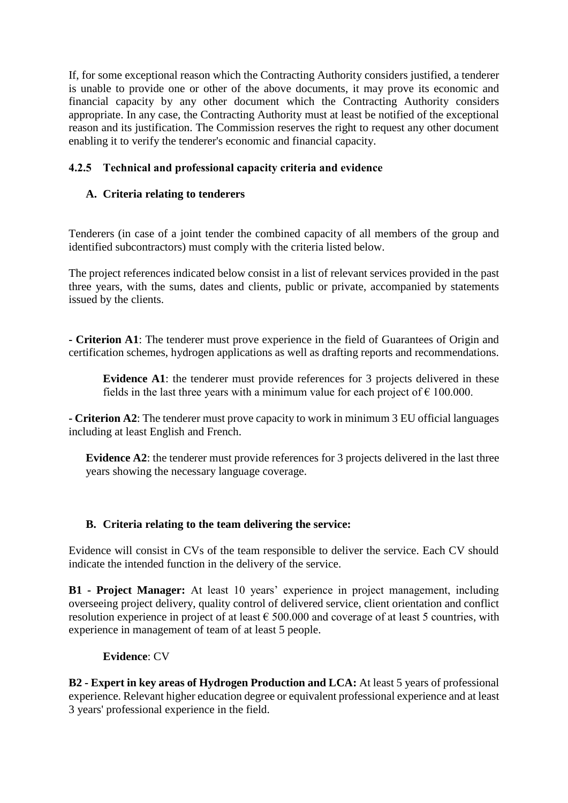If, for some exceptional reason which the Contracting Authority considers justified, a tenderer is unable to provide one or other of the above documents, it may prove its economic and financial capacity by any other document which the Contracting Authority considers appropriate. In any case, the Contracting Authority must at least be notified of the exceptional reason and its justification. The Commission reserves the right to request any other document enabling it to verify the tenderer's economic and financial capacity.

#### <span id="page-15-0"></span>**4.2.5 Technical and professional capacity criteria and evidence**

#### **A. Criteria relating to tenderers**

Tenderers (in case of a joint tender the combined capacity of all members of the group and identified subcontractors) must comply with the criteria listed below.

The project references indicated below consist in a list of relevant services provided in the past three years, with the sums, dates and clients, public or private, accompanied by statements issued by the clients.

**- Criterion A1**: The tenderer must prove experience in the field of Guarantees of Origin and certification schemes, hydrogen applications as well as drafting reports and recommendations.

**Evidence A1**: the tenderer must provide references for 3 projects delivered in these fields in the last three years with a minimum value for each project of  $\epsilon$  100.000.

**- Criterion A2**: The tenderer must prove capacity to work in minimum 3 EU official languages including at least English and French.

**Evidence A2**: the tenderer must provide references for 3 projects delivered in the last three years showing the necessary language coverage.

#### **B. Criteria relating to the team delivering the service:**

Evidence will consist in CVs of the team responsible to deliver the service. Each CV should indicate the intended function in the delivery of the service.

**B1 - Project Manager:** At least 10 years' experience in project management, including overseeing project delivery, quality control of delivered service, client orientation and conflict resolution experience in project of at least  $\epsilon$  500.000 and coverage of at least 5 countries, with experience in management of team of at least 5 people.

#### **Evidence**: CV

**B2 - Expert in key areas of Hydrogen Production and LCA:** At least 5 years of professional experience. Relevant higher education degree or equivalent professional experience and at least 3 years' professional experience in the field.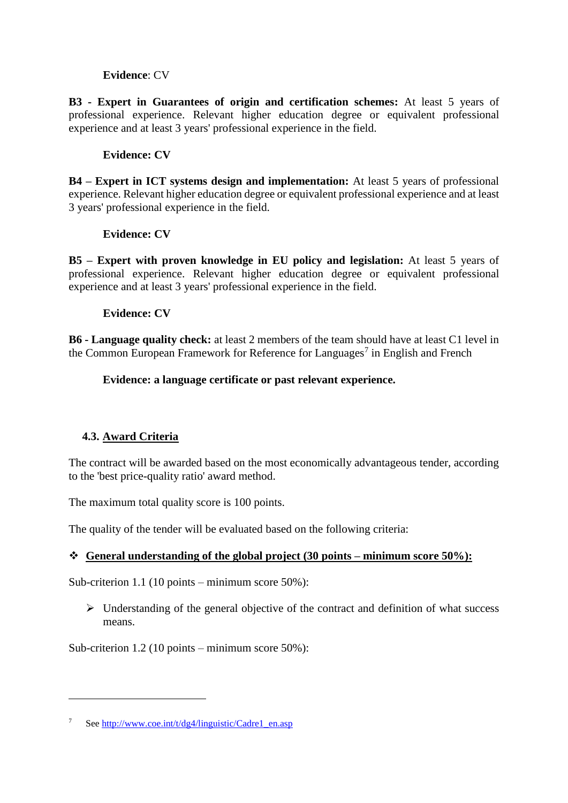#### **Evidence**: CV

**B3 - Expert in Guarantees of origin and certification schemes:** At least 5 years of professional experience. Relevant higher education degree or equivalent professional experience and at least 3 years' professional experience in the field.

#### **Evidence: CV**

**B4 – Expert in ICT systems design and implementation:** At least 5 years of professional experience. Relevant higher education degree or equivalent professional experience and at least 3 years' professional experience in the field.

#### **Evidence: CV**

**B5 – Expert with proven knowledge in EU policy and legislation:** At least 5 years of professional experience. Relevant higher education degree or equivalent professional experience and at least 3 years' professional experience in the field.

#### **Evidence: CV**

**B6 - Language quality check:** at least 2 members of the team should have at least C1 level in the Common European Framework for Reference for Languages<sup>7</sup> in English and French

#### **Evidence: a language certificate or past relevant experience.**

#### <span id="page-16-0"></span>**4.3. Award Criteria**

1

The contract will be awarded based on the most economically advantageous tender, according to the 'best price-quality ratio' award method.

The maximum total quality score is 100 points.

The quality of the tender will be evaluated based on the following criteria:

#### **General understanding of the global project (30 points – minimum score 50%):**

Sub-criterion 1.1 (10 points – minimum score 50%):

 $\triangleright$  Understanding of the general objective of the contract and definition of what success means.

Sub-criterion 1.2 (10 points – minimum score 50%):

See [http://www.coe.int/t/dg4/linguistic/Cadre1\\_en.asp](http://www.coe.int/t/dg4/linguistic/Cadre1_en.asp)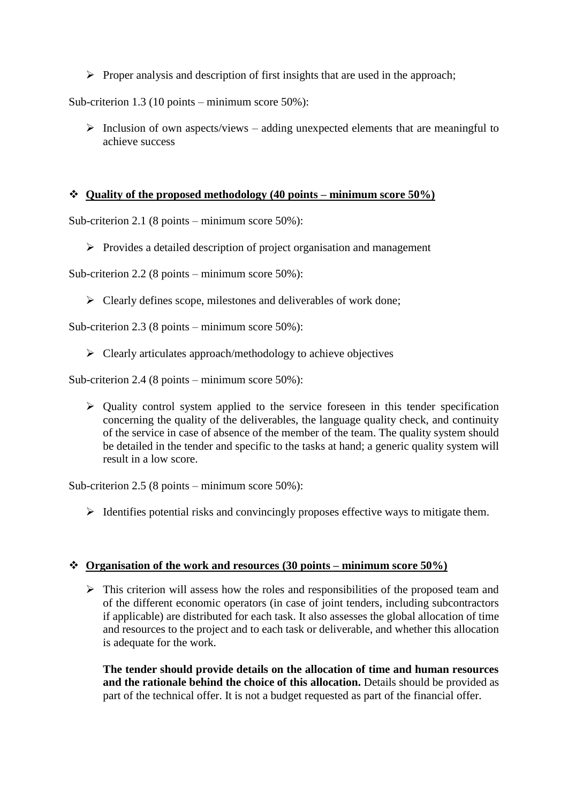$\triangleright$  Proper analysis and description of first insights that are used in the approach;

Sub-criterion 1.3 (10 points – minimum score 50%):

 $\triangleright$  Inclusion of own aspects/views – adding unexpected elements that are meaningful to achieve success

#### **Quality of the proposed methodology (40 points – minimum score 50%)**

Sub-criterion 2.1 (8 points – minimum score 50%):

 $\triangleright$  Provides a detailed description of project organisation and management

Sub-criterion 2.2 (8 points – minimum score 50%):

 $\triangleright$  Clearly defines scope, milestones and deliverables of work done;

Sub-criterion 2.3 (8 points – minimum score 50%):

 $\triangleright$  Clearly articulates approach/methodology to achieve objectives

Sub-criterion 2.4 (8 points – minimum score 50%):

 $\triangleright$  Quality control system applied to the service foreseen in this tender specification concerning the quality of the deliverables, the language quality check, and continuity of the service in case of absence of the member of the team. The quality system should be detailed in the tender and specific to the tasks at hand; a generic quality system will result in a low score.

Sub-criterion 2.5 (8 points – minimum score 50%):

 $\triangleright$  Identifies potential risks and convincingly proposes effective ways to mitigate them.

#### **Organisation of the work and resources (30 points – minimum score 50%)**

 $\triangleright$  This criterion will assess how the roles and responsibilities of the proposed team and of the different economic operators (in case of joint tenders, including subcontractors if applicable) are distributed for each task. It also assesses the global allocation of time and resources to the project and to each task or deliverable, and whether this allocation is adequate for the work.

**The tender should provide details on the allocation of time and human resources and the rationale behind the choice of this allocation.** Details should be provided as part of the technical offer. It is not a budget requested as part of the financial offer.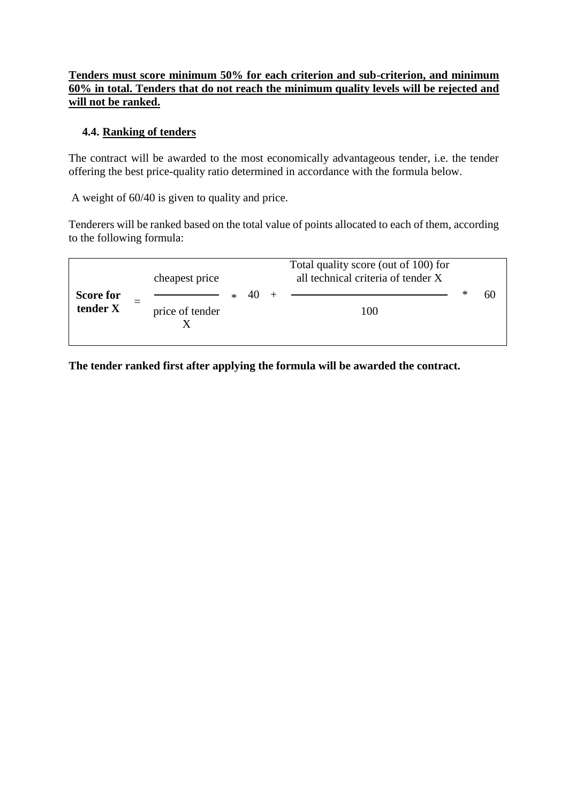#### **Tenders must score minimum 50% for each criterion and sub-criterion, and minimum 60% in total. Tenders that do not reach the minimum quality levels will be rejected and will not be ranked.**

#### <span id="page-18-0"></span>**4.4. Ranking of tenders**

The contract will be awarded to the most economically advantageous tender, i.e. the tender offering the best price-quality ratio determined in accordance with the formula below.

A weight of 60/40 is given to quality and price.

Tenderers will be ranked based on the total value of points allocated to each of them, according to the following formula:

|                       | cheapest price  |  | Total quality score (out of 100) for<br>all technical criteria of tender X |   |    |
|-----------------------|-----------------|--|----------------------------------------------------------------------------|---|----|
| Score for<br>tender X | price of tender |  | 100                                                                        | ∗ | 60 |

**The tender ranked first after applying the formula will be awarded the contract.**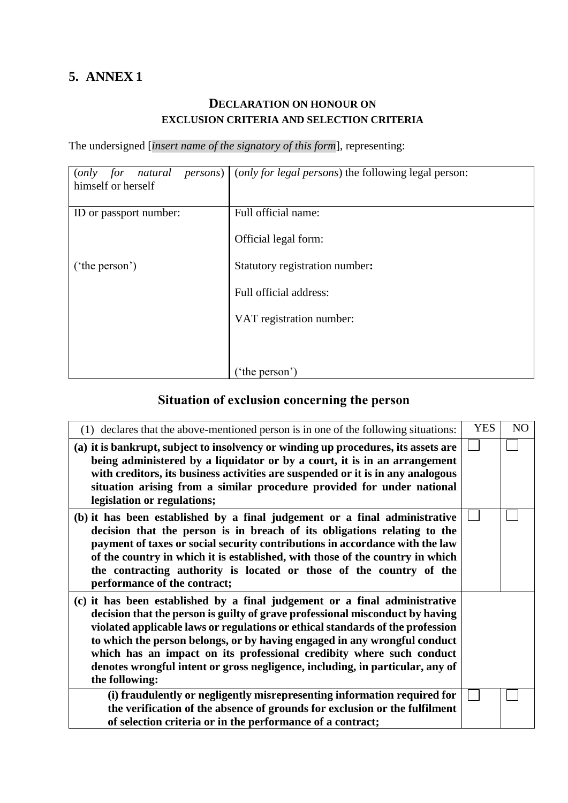# <span id="page-19-1"></span><span id="page-19-0"></span>**5. ANNEX 1**

# **DECLARATION ON HONOUR ON EXCLUSION CRITERIA AND SELECTION CRITERIA**

The undersigned [*insert name of the signatory of this form*], representing:

| for<br>natural<br>(only)<br>himself or herself | <i>persons</i> ) ( <i>only for legal persons</i> ) the following legal person: |
|------------------------------------------------|--------------------------------------------------------------------------------|
| ID or passport number:                         | Full official name:                                                            |
|                                                | Official legal form:                                                           |
| ('the person')                                 | Statutory registration number:                                                 |
|                                                | Full official address:                                                         |
|                                                | VAT registration number:                                                       |
|                                                |                                                                                |
|                                                | ('the person')                                                                 |

# **Situation of exclusion concerning the person**

<span id="page-19-2"></span>

| (1) declares that the above-mentioned person is in one of the following situations:                                                                                                                                                                                                                                                                                                                                                                                                                   | <b>YES</b> | NO |
|-------------------------------------------------------------------------------------------------------------------------------------------------------------------------------------------------------------------------------------------------------------------------------------------------------------------------------------------------------------------------------------------------------------------------------------------------------------------------------------------------------|------------|----|
| (a) it is bankrupt, subject to insolvency or winding up procedures, its assets are<br>being administered by a liquidator or by a court, it is in an arrangement<br>with creditors, its business activities are suspended or it is in any analogous<br>situation arising from a similar procedure provided for under national<br>legislation or regulations;                                                                                                                                           |            |    |
| (b) it has been established by a final judgement or a final administrative<br>decision that the person is in breach of its obligations relating to the<br>payment of taxes or social security contributions in accordance with the law<br>of the country in which it is established, with those of the country in which<br>the contracting authority is located or those of the country of the<br>performance of the contract;                                                                        |            |    |
| (c) it has been established by a final judgement or a final administrative<br>decision that the person is guilty of grave professional misconduct by having<br>violated applicable laws or regulations or ethical standards of the profession<br>to which the person belongs, or by having engaged in any wrongful conduct<br>which has an impact on its professional credibity where such conduct<br>denotes wrongful intent or gross negligence, including, in particular, any of<br>the following: |            |    |
| (i) fraudulently or negligently misrepresenting information required for<br>the verification of the absence of grounds for exclusion or the fulfilment<br>of selection criteria or in the performance of a contract;                                                                                                                                                                                                                                                                                  |            |    |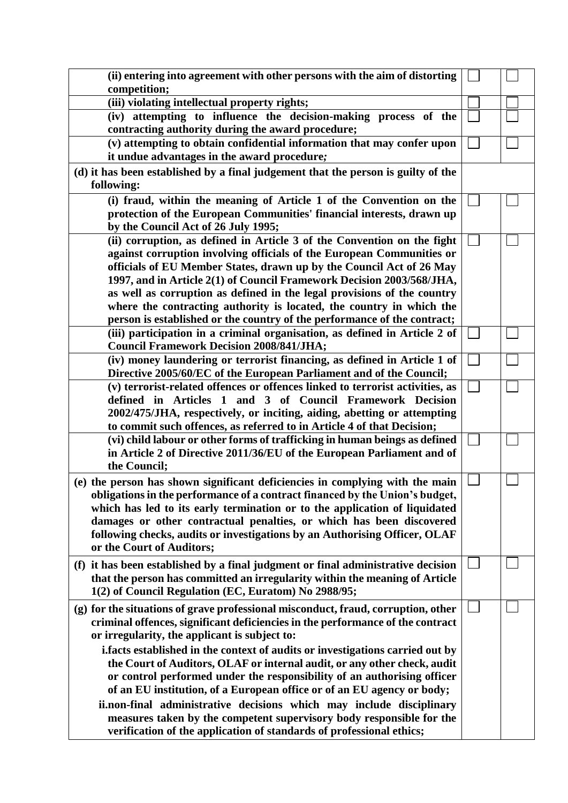| (ii) entering into agreement with other persons with the aim of distorting                                                      |  |
|---------------------------------------------------------------------------------------------------------------------------------|--|
| competition;                                                                                                                    |  |
| (iii) violating intellectual property rights;                                                                                   |  |
| (iv) attempting to influence the decision-making process of the<br>contracting authority during the award procedure;            |  |
| (v) attempting to obtain confidential information that may confer upon                                                          |  |
| it undue advantages in the award procedure;                                                                                     |  |
| (d) it has been established by a final judgement that the person is guilty of the                                               |  |
| following:                                                                                                                      |  |
| (i) fraud, within the meaning of Article 1 of the Convention on the                                                             |  |
| protection of the European Communities' financial interests, drawn up                                                           |  |
| by the Council Act of 26 July 1995;                                                                                             |  |
| (ii) corruption, as defined in Article 3 of the Convention on the fight                                                         |  |
| against corruption involving officials of the European Communities or                                                           |  |
| officials of EU Member States, drawn up by the Council Act of 26 May                                                            |  |
| 1997, and in Article 2(1) of Council Framework Decision 2003/568/JHA,                                                           |  |
| as well as corruption as defined in the legal provisions of the country                                                         |  |
| where the contracting authority is located, the country in which the                                                            |  |
| person is established or the country of the performance of the contract;                                                        |  |
| (iii) participation in a criminal organisation, as defined in Article 2 of                                                      |  |
| <b>Council Framework Decision 2008/841/JHA;</b>                                                                                 |  |
| (iv) money laundering or terrorist financing, as defined in Article 1 of                                                        |  |
| Directive 2005/60/EC of the European Parliament and of the Council;                                                             |  |
| (v) terrorist-related offences or offences linked to terrorist activities, as                                                   |  |
| defined in Articles 1 and 3 of Council Framework Decision                                                                       |  |
| 2002/475/JHA, respectively, or inciting, aiding, abetting or attempting                                                         |  |
| to commit such offences, as referred to in Article 4 of that Decision;                                                          |  |
| (vi) child labour or other forms of trafficking in human beings as defined                                                      |  |
| in Article 2 of Directive 2011/36/EU of the European Parliament and of                                                          |  |
| the Council;                                                                                                                    |  |
| (e) the person has shown significant deficiencies in complying with the main                                                    |  |
| obligations in the performance of a contract financed by the Union's budget,                                                    |  |
| which has led to its early termination or to the application of liquidated                                                      |  |
| damages or other contractual penalties, or which has been discovered                                                            |  |
| following checks, audits or investigations by an Authorising Officer, OLAF                                                      |  |
| or the Court of Auditors;                                                                                                       |  |
| (f) it has been established by a final judgment or final administrative decision                                                |  |
| that the person has committed an irregularity within the meaning of Article                                                     |  |
| 1(2) of Council Regulation (EC, Euratom) No 2988/95;                                                                            |  |
|                                                                                                                                 |  |
| (g) for the situations of grave professional misconduct, fraud, corruption, other                                               |  |
| criminal offences, significant deficiencies in the performance of the contract<br>or irregularity, the applicant is subject to: |  |
|                                                                                                                                 |  |
| i. facts established in the context of audits or investigations carried out by                                                  |  |
| the Court of Auditors, OLAF or internal audit, or any other check, audit                                                        |  |
| or control performed under the responsibility of an authorising officer                                                         |  |
| of an EU institution, of a European office or of an EU agency or body;                                                          |  |
| ii.non-final administrative decisions which may include disciplinary                                                            |  |
| measures taken by the competent supervisory body responsible for the                                                            |  |
| verification of the application of standards of professional ethics;                                                            |  |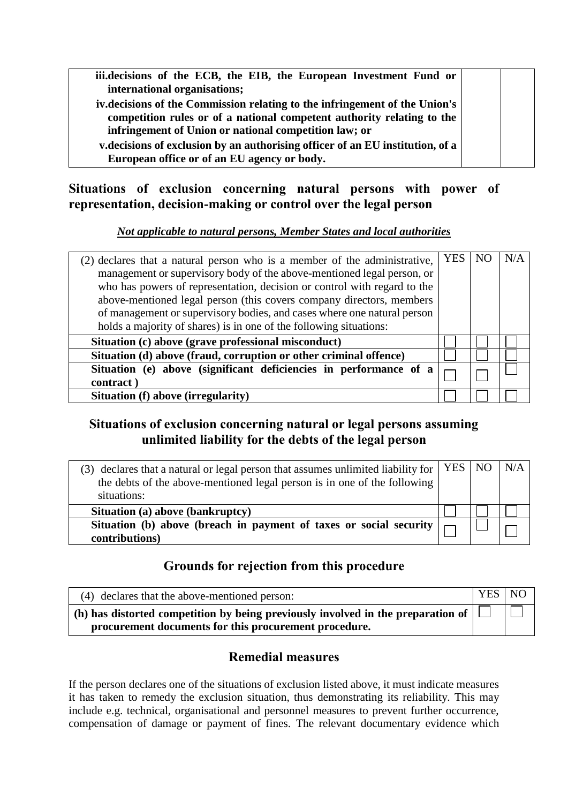| iii.decisions of the ECB, the EIB, the European Investment Fund or<br>international organisations; |  |
|----------------------------------------------------------------------------------------------------|--|
|                                                                                                    |  |
| iv.decisions of the Commission relating to the infringement of the Union's                         |  |
|                                                                                                    |  |
| competition rules or of a national competent authority relating to the                             |  |
|                                                                                                    |  |
| infringement of Union or national competition law; or                                              |  |
|                                                                                                    |  |
| v.decisions of exclusion by an authorising officer of an EU institution, of a                      |  |
|                                                                                                    |  |
| European office or of an EU agency or body.                                                        |  |
|                                                                                                    |  |

# <span id="page-21-0"></span>**Situations of exclusion concerning natural persons with power of representation, decision-making or control over the legal person**

## *Not applicable to natural persons, Member States and local authorities*

| (2) declares that a natural person who is a member of the administrative,<br>management or supervisory body of the above-mentioned legal person, or<br>who has powers of representation, decision or control with regard to the<br>above-mentioned legal person (this covers company directors, members<br>of management or supervisory bodies, and cases where one natural person<br>holds a majority of shares) is in one of the following situations: | YES | N/A |
|----------------------------------------------------------------------------------------------------------------------------------------------------------------------------------------------------------------------------------------------------------------------------------------------------------------------------------------------------------------------------------------------------------------------------------------------------------|-----|-----|
| Situation (c) above (grave professional misconduct)                                                                                                                                                                                                                                                                                                                                                                                                      |     |     |
| Situation (d) above (fraud, corruption or other criminal offence)                                                                                                                                                                                                                                                                                                                                                                                        |     |     |
| Situation (e) above (significant deficiencies in performance of a<br>contract)                                                                                                                                                                                                                                                                                                                                                                           |     |     |
| Situation (f) above (irregularity)                                                                                                                                                                                                                                                                                                                                                                                                                       |     |     |

# <span id="page-21-1"></span>**Situations of exclusion concerning natural or legal persons assuming unlimited liability for the debts of the legal person**

| (3) declares that a natural or legal person that assumes unlimited liability for $\vert$ YES $\vert$ NO<br>the debts of the above-mentioned legal person is in one of the following<br>situations: |  | N/A |
|----------------------------------------------------------------------------------------------------------------------------------------------------------------------------------------------------|--|-----|
| Situation (a) above (bankruptcy)                                                                                                                                                                   |  |     |
| Situation (b) above (breach in payment of taxes or social security  <br>contributions)                                                                                                             |  |     |

# **Grounds for rejection from this procedure**

<span id="page-21-2"></span>

| (4) declares that the above-mentioned person:                                                       | YES NO |  |
|-----------------------------------------------------------------------------------------------------|--------|--|
| $\mid$ (h) has distorted competition by being previously involved in the preparation of $\mid \Box$ |        |  |
| procurement documents for this procurement procedure.                                               |        |  |

# **Remedial measures**

<span id="page-21-3"></span>If the person declares one of the situations of exclusion listed above, it must indicate measures it has taken to remedy the exclusion situation, thus demonstrating its reliability. This may include e.g. technical, organisational and personnel measures to prevent further occurrence, compensation of damage or payment of fines. The relevant documentary evidence which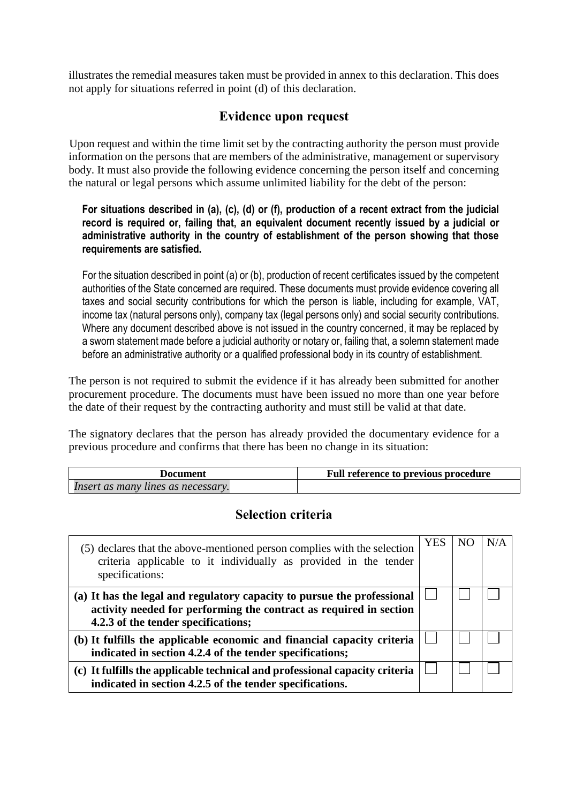illustrates the remedial measures taken must be provided in annex to this declaration. This does not apply for situations referred in point (d) of this declaration.

### **Evidence upon request**

<span id="page-22-0"></span>Upon request and within the time limit set by the contracting authority the person must provide information on the persons that are members of the administrative, management or supervisory body. It must also provide the following evidence concerning the person itself and concerning the natural or legal persons which assume unlimited liability for the debt of the person:

#### **For situations described in (a), (c), (d) or (f), production of a recent extract from the judicial record is required or, failing that, an equivalent document recently issued by a judicial or administrative authority in the country of establishment of the person showing that those requirements are satisfied.**

For the situation described in point (a) or (b), production of recent certificates issued by the competent authorities of the State concerned are required. These documents must provide evidence covering all taxes and social security contributions for which the person is liable, including for example, VAT, income tax (natural persons only), company tax (legal persons only) and social security contributions. Where any document described above is not issued in the country concerned, it may be replaced by a sworn statement made before a judicial authority or notary or, failing that, a solemn statement made before an administrative authority or a qualified professional body in its country of establishment.

The person is not required to submit the evidence if it has already been submitted for another procurement procedure. The documents must have been issued no more than one year before the date of their request by the contracting authority and must still be valid at that date.

The signatory declares that the person has already provided the documentary evidence for a previous procedure and confirms that there has been no change in its situation:

<span id="page-22-1"></span>

| Document                          | <b>Full reference to previous procedure</b> |
|-----------------------------------|---------------------------------------------|
| Insert as many lines as necessary |                                             |

# **Selection criteria**

| (5) declares that the above-mentioned person complies with the selection<br>criteria applicable to it individually as provided in the tender<br>specifications:                      | <b>YES</b> |  |
|--------------------------------------------------------------------------------------------------------------------------------------------------------------------------------------|------------|--|
| (a) It has the legal and regulatory capacity to pursue the professional<br>activity needed for performing the contract as required in section<br>4.2.3 of the tender specifications; |            |  |
| (b) It fulfills the applicable economic and financial capacity criteria<br>indicated in section 4.2.4 of the tender specifications;                                                  |            |  |
| (c) It fulfills the applicable technical and professional capacity criteria<br>indicated in section 4.2.5 of the tender specifications.                                              |            |  |